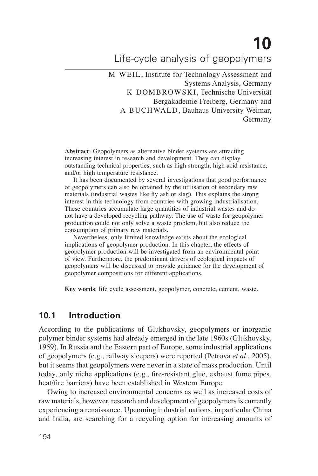**10**

# Life-cycle analysis of geopolymers

M Weil, Institute for Technology Assessment and Systems Analysis, Germany K DOMBROWSKI, Technische Universität Bergakademie Freiberg, Germany and A BUCHWALD, Bauhaus University Weimar, Germany

**Abstract**: Geopolymers as alternative binder systems are attracting increasing interest in research and development. They can display outstanding technical properties, such as high strength, high acid resistance, and/or high temperature resistance.

 It has been documented by several investigations that good performance of geopolymers can also be obtained by the utilisation of secondary raw materials (industrial wastes like fly ash or slag). This explains the strong interest in this technology from countries with growing industrialisation. These countries accumulate large quantities of industrial wastes and do not have a developed recycling pathway. The use of waste for geopolymer production could not only solve a waste problem, but also reduce the consumption of primary raw materials.

Nevertheless, only limited knowledge exists about the ecological implications of geopolymer production. In this chapter, the effects of geopolymer production will be investigated from an environmental point of view. Furthermore, the predominant drivers of ecological impacts of geopolymers will be discussed to provide guidance for the development of geopolymer compositions for different applications.

**Key words**: life cycle assessment, geopolymer, concrete, cement, waste.

#### **10.1 Introduction**

According to the publications of Glukhovsky, geopolymers or inorganic polymer binder systems had already emerged in the late 1960s (Glukhovsky, 1959). In Russia and the Eastern part of Europe, some industrial applications of geopolymers (e.g., railway sleepers) were reported (Petrova *et al*., 2005), but it seems that geopolymers were never in a state of mass production. Until today, only niche applications (e.g., fire-resistant glue, exhaust fume pipes, heat/fire barriers) have been established in Western Europe.

 Owing to increased environmental concerns as well as increased costs of raw materials, however, research and development of geopolymers is currently experiencing a renaissance. Upcoming industrial nations, in particular China and India, are searching for a recycling option for increasing amounts of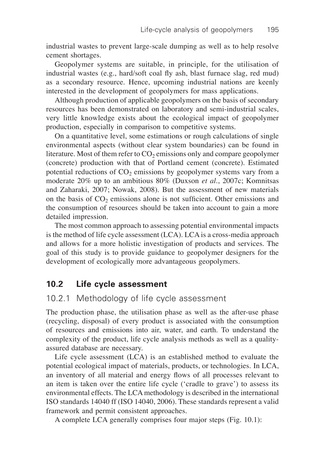industrial wastes to prevent large-scale dumping as well as to help resolve cement shortages.

Geopolymer systems are suitable, in principle, for the utilisation of industrial wastes (e.g., hard/soft coal fly ash, blast furnace slag, red mud) as a secondary resource. Hence, upcoming industrial nations are keenly interested in the development of geopolymers for mass applications.

Although production of applicable geopolymers on the basis of secondary resources has been demonstrated on laboratory and semi-industrial scales, very little knowledge exists about the ecological impact of geopolymer production, especially in comparison to competitive systems.

 On a quantitative level, some estimations or rough calculations of single environmental aspects (without clear system boundaries) can be found in literature. Most of them refer to  $CO<sub>2</sub>$  emissions only and compare geopolymer (concrete) production with that of Portland cement (concrete). Estimated potential reductions of  $CO<sub>2</sub>$  emissions by geopolymer systems vary from a moderate 20% up to an ambitious 80% (Duxson *et al*., 2007c; Komnitsas and Zaharaki, 2007; Nowak, 2008). But the assessment of new materials on the basis of  $CO<sub>2</sub>$  emissions alone is not sufficient. Other emissions and the consumption of resources should be taken into account to gain a more detailed impression.

The most common approach to assessing potential environmental impacts is the method of life cycle assessment (LCA). LCA is a cross-media approach and allows for a more holistic investigation of products and services. The goal of this study is to provide guidance to geopolymer designers for the development of ecologically more advantageous geopolymers.

## **10.2 Life cycle assessment**

#### 10.2.1 Methodology of life cycle assessment

The production phase, the utilisation phase as well as the after-use phase (recycling, disposal) of every product is associated with the consumption of resources and emissions into air, water, and earth. To understand the complexity of the product, life cycle analysis methods as well as a qualityassured database are necessary.

Life cycle assessment (LCA) is an established method to evaluate the potential ecological impact of materials, products, or technologies. In LCA, an inventory of all material and energy flows of all processes relevant to an item is taken over the entire life cycle ('cradle to grave') to assess its environmental effects. The LCA methodology is described in the international ISO standards 14040 ff (ISO 14040, 2006). These standards represent a valid framework and permit consistent approaches.

A complete LCA generally comprises four major steps (Fig. 10.1):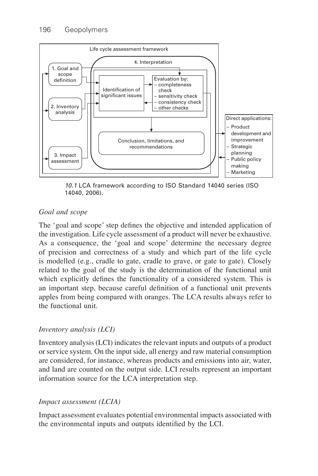

*10.1* LCA framework according to ISO Standard 14040 series (ISO 14040, 2006).

#### *Goal and scope*

The 'goal and scope' step defines the objective and intended application of the investigation. Life cycle assessment of a product will never be exhaustive. As a consequence, the 'goal and scope' determine the necessary degree of precision and correctness of a study and which part of the life cycle is modelled (e.g., cradle to gate, cradle to grave, or gate to gate). Closely related to the goal of the study is the determination of the functional unit which explicitly defines the functionality of a considered system. This is an important step, because careful definition of a functional unit prevents apples from being compared with oranges. The LCA results always refer to the functional unit.

#### *Inventory analysis (LCI)*

Inventory analysis (LCI) indicates the relevant inputs and outputs of a product or service system. On the input side, all energy and raw material consumption are considered, for instance, whereas products and emissions into air, water, and land are counted on the output side. LCI results represent an important information source for the LCA interpretation step.

## *Impact assessment (LCIA)*

Impact assessment evaluates potential environmental impacts associated with the environmental inputs and outputs identified by the LCI.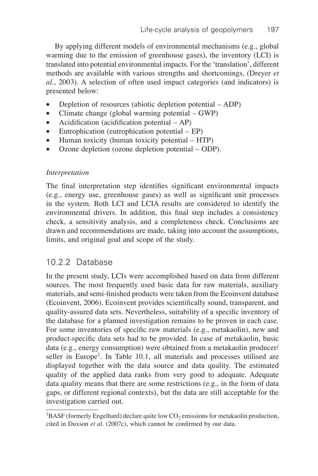By applying different models of environmental mechanisms (e.g., global warming due to the emission of greenhouse gases), the inventory (LCI) is translated into potential environmental impacts. For the 'translation', different methods are available with various strengths and shortcomings, (Dreyer *et al*., 2003). A selection of often used impact categories (and indicators) is presented below:

- ∑ Depletion of resources (abiotic depletion potential ADP)
- Climate change (global warming potential GWP)
- ∑ Acidification (acidification potential AP)
- ∑ Eutrophication (eutrophication potential EP)
- Human toxicity (human toxicity potential HTP)
- ∑ Ozone depletion (ozone depletion potential ODP).

#### *Interpretation*

The final interpretation step identifies significant environmental impacts (e.g., energy use, greenhouse gases) as well as significant unit processes in the system. Both LCI and LCIA results are considered to identify the environmental drivers. In addition, this final step includes a consistency check, a sensitivity analysis, and a completeness check. Conclusions are drawn and recommendations are made, taking into account the assumptions, limits, and original goal and scope of the study.

## 10.2.2 Database

In the present study, LCIs were accomplished based on data from different sources. The most frequently used basic data for raw materials, auxiliary materials, and semi-finished products were taken from the Ecoinvent database (Ecoinvent, 2006). Ecoinvent provides scientifically sound, transparent, and quality-assured data sets. Nevertheless, suitability of a specific inventory of the database for a planned investigation remains to be proven in each case. For some inventories of specific raw materials (e.g., metakaolin), new and product-specific data sets had to be provided. In case of metakaolin, basic data (e.g., energy consumption) were obtained from a metakaolin producer/ seller in Europe<sup>1</sup>. In Table 10.1, all materials and processes utilised are displayed together with the data source and data quality. The estimated quality of the applied data ranks from very good to adequate. Adequate data quality means that there are some restrictions (e.g., in the form of data gaps, or different regional contexts), but the data are still acceptable for the investigation carried out.

<sup>&</sup>lt;sup>1</sup>BASF (formerly Engelhard) declare quite low  $CO_2$  emissions for metakaolin production, cited in Duxson *et al*. (2007c), which cannot be confirmed by our data.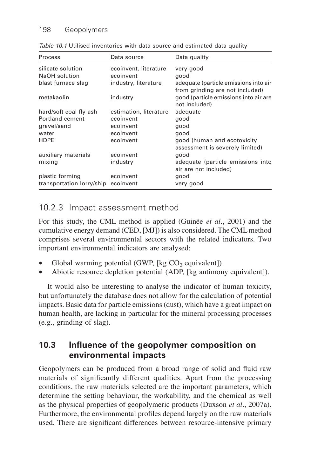| Process                             | Data source            | Data quality                                                             |
|-------------------------------------|------------------------|--------------------------------------------------------------------------|
| silicate solution                   | ecoinvent, literature  | very good                                                                |
| NaOH solution                       | ecoinvent              | good                                                                     |
| blast furnace slag                  | industry, literature   | adequate (particle emissions into air<br>from grinding are not included) |
| metakaolin                          | industry               | good (particle emissions into air are<br>not included)                   |
| hard/soft coal fly ash              | estimation, literature | adequate                                                                 |
| Portland cement                     | ecoinvent              | good                                                                     |
| gravel/sand                         | ecoinvent              | good                                                                     |
| water                               | ecoinvent              | good                                                                     |
| <b>HDPE</b>                         | ecoinvent              | good (human and ecotoxicity<br>assessment is severely limited)           |
| auxiliary materials                 | ecoinvent              | good                                                                     |
| mixing                              | industry               | adequate (particle emissions into<br>air are not included)               |
| plastic forming                     | ecoinvent              | good                                                                     |
| transportation lorry/ship ecoinvent |                        | very good                                                                |

*Table 10.1* Utilised inventories with data source and estimated data quality

## 10.2.3 Impact assessment method

For this study, the CML method is applied (Guinée *et al*., 2001) and the cumulative energy demand (CED, [MJ]) is also considered. The CML method comprises several environmental sectors with the related indicators. Two important environmental indicators are analysed:

- Global warming potential (GWP,  $[kg CO<sub>2</sub>$  equivalent])
- ∑ Abiotic resource depletion potential (ADP, [kg antimony equivalent]).

It would also be interesting to analyse the indicator of human toxicity, but unfortunately the database does not allow for the calculation of potential impacts. Basic data for particle emissions (dust), which have a great impact on human health, are lacking in particular for the mineral processing processes (e.g., grinding of slag).

# **10.3 Influence of the geopolymer composition on environmental impacts**

Geopolymers can be produced from a broad range of solid and fluid raw materials of significantly different qualities. Apart from the processing conditions, the raw materials selected are the important parameters, which determine the setting behaviour, the workability, and the chemical as well as the physical properties of geopolymeric products (Duxson *et al*., 2007a). Furthermore, the environmental profiles depend largely on the raw materials used. There are significant differences between resource-intensive primary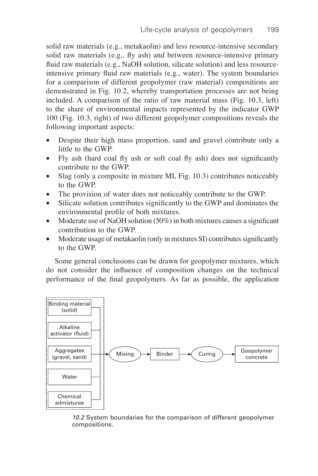solid raw materials (e.g., metakaolin) and less resource-intensive secondary solid raw materials (e.g., fly ash) and between resource-intensive primary fluid raw materials (e.g., NaOH solution, silicate solution) and less resourceintensive primary fluid raw materials (e.g., water). The system boundaries for a comparison of different geopolymer (raw material) compositions are demonstrated in Fig. 10.2, whereby transportation processes are not being included. A comparison of the ratio of raw material mass (Fig. 10.3, left) to the share of environmental impacts represented by the indicator GWP 100 (Fig. 10.3, right) of two different geopolymer compositions reveals the following important aspects:

- Despite their high mass proportion, sand and gravel contribute only a little to the GWP.
- Fly ash (hard coal fly ash or soft coal fly ash) does not significantly contribute to the GWP.
- Slag (only a composite in mixture MI, Fig. 10.3) contributes noticeably to the GWP.
- The provision of water does not noticeably contribute to the GWP.
- Silicate solution contributes significantly to the GWP and dominates the environmental profile of both mixtures.
- Moderate use of NaOH solution (50%) in both mixtures causes a significant contribution to the GWP.
- ∑ Moderate usage of metakaolin (only in mixtures SI) contributes significantly to the GWP.

Some general conclusions can be drawn for geopolymer mixtures, which do not consider the influence of composition changes on the technical performance of the final geopolymers. As far as possible, the application



*10.2* System boundaries for the comparison of different geopolymer compositions.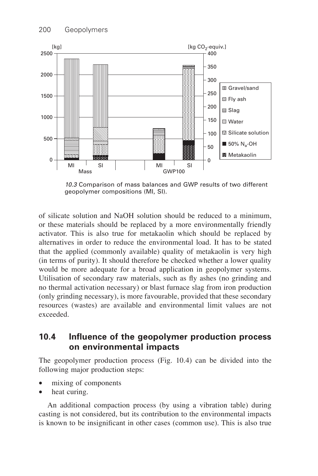

*10.3* Comparison of mass balances and GWP results of two different geopolymer compositions (MI, SI).

of silicate solution and NaOH solution should be reduced to a minimum, or these materials should be replaced by a more environmentally friendly activator. This is also true for metakaolin which should be replaced by alternatives in order to reduce the environmental load. It has to be stated that the applied (commonly available) quality of metakaolin is very high (in terms of purity). It should therefore be checked whether a lower quality would be more adequate for a broad application in geopolymer systems. Utilisation of secondary raw materials, such as fly ashes (no grinding and no thermal activation necessary) or blast furnace slag from iron production (only grinding necessary), is more favourable, provided that these secondary resources (wastes) are available and environmental limit values are not exceeded.

## **10.4 Influence of the geopolymer production process on environmental impacts**

The geopolymer production process (Fig. 10.4) can be divided into the following major production steps:

- mixing of components
- heat curing.

An additional compaction process (by using a vibration table) during casting is not considered, but its contribution to the environmental impacts is known to be insignificant in other cases (common use). This is also true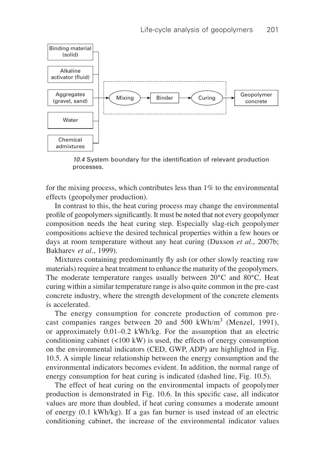

*10.4* System boundary for the identification of relevant production processes.

for the mixing process, which contributes less than  $1\%$  to the environmental effects (geopolymer production).

 In contrast to this, the heat curing process may change the environmental profile of geopolymers significantly. It must be noted that not every geopolymer composition needs the heat curing step. Especially slag-rich geopolymer compositions achieve the desired technical properties within a few hours or days at room temperature without any heat curing (Duxson *et al*., 2007b; Bakharev *et al*., 1999).

Mixtures containing predominantly fly ash (or other slowly reacting raw materials) require a heat treatment to enhance the maturity of the geopolymers. The moderate temperature ranges usually between 20°C and 80°C. Heat curing within a similar temperature range is also quite common in the pre-cast concrete industry, where the strength development of the concrete elements is accelerated.

The energy consumption for concrete production of common precast companies ranges between 20 and 500 kWh/m<sup>3</sup> (Menzel, 1991), or approximately 0.01–0.2 kWh/kg. For the assumption that an electric conditioning cabinet (<100 kW) is used, the effects of energy consumption on the environmental indicators (CED, GWP, ADP) are highlighted in Fig. 10.5. A simple linear relationship between the energy consumption and the environmental indicators becomes evident. In addition, the normal range of energy consumption for heat curing is indicated (dashed line, Fig. 10.5).

The effect of heat curing on the environmental impacts of geopolymer production is demonstrated in Fig. 10.6. In this specific case, all indicator values are more than doubled, if heat curing consumes a moderate amount of energy (0.1 kWh/kg). If a gas fan burner is used instead of an electric conditioning cabinet, the increase of the environmental indicator values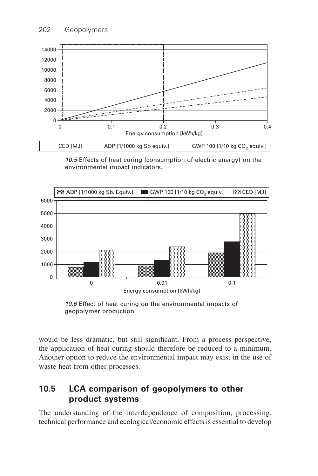

*10.5* Effects of heat curing (consumption of electric energy) on the environmental impact indicators.



*10.6* Effect of heat curing on the environmental impacts of geopolymer production.

would be less dramatic, but still significant. From a process perspective, the application of heat curing should therefore be reduced to a minimum. Another option to reduce the environmental impact may exist in the use of waste heat from other processes.

# **10.5 LCA comparison of geopolymers to other product systems**

The understanding of the interdependence of composition, processing, technical performance and ecological/economic effects is essential to develop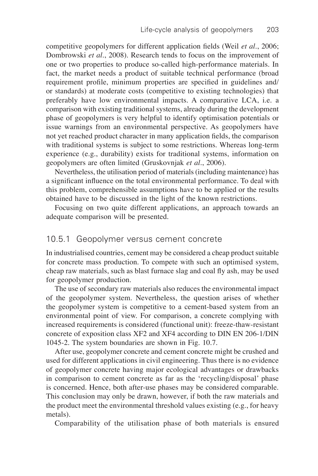competitive geopolymers for different application fields (Weil *et al*., 2006; Dombrowski *et al*., 2008). Research tends to focus on the improvement of one or two properties to produce so-called high-performance materials. In fact, the market needs a product of suitable technical performance (broad requirement profile, minimum properties are specified in guidelines and/ or standards) at moderate costs (competitive to existing technologies) that preferably have low environmental impacts. A comparative LCA, i.e. a comparison with existing traditional systems, already during the development phase of geopolymers is very helpful to identify optimisation potentials or issue warnings from an environmental perspective. As geopolymers have not yet reached product character in many application fields, the comparison with traditional systems is subject to some restrictions. Whereas long-term experience (e.g., durability) exists for traditional systems, information on geopolymers are often limited (Gruskovnjak *et al*., 2006).

Nevertheless, the utilisation period of materials (including maintenance) has a significant influence on the total environmental performance. To deal with this problem, comprehensible assumptions have to be applied or the results obtained have to be discussed in the light of the known restrictions.

Focusing on two quite different applications, an approach towards an adequate comparison will be presented.

#### 10.5.1 Geopolymer versus cement concrete

In industrialised countries, cement may be considered a cheap product suitable for concrete mass production. To compete with such an optimised system, cheap raw materials, such as blast furnace slag and coal fly ash, may be used for geopolymer production.

The use of secondary raw materials also reduces the environmental impact of the geopolymer system. Nevertheless, the question arises of whether the geopolymer system is competitive to a cement-based system from an environmental point of view. For comparison, a concrete complying with increased requirements is considered (functional unit): freeze-thaw-resistant concrete of exposition class XF2 and XF4 according to DIN EN 206-1/DIN 1045-2. The system boundaries are shown in Fig. 10.7.

After use, geopolymer concrete and cement concrete might be crushed and used for different applications in civil engineering. Thus there is no evidence of geopolymer concrete having major ecological advantages or drawbacks in comparison to cement concrete as far as the 'recycling/disposal' phase is concerned. Hence, both after-use phases may be considered comparable. This conclusion may only be drawn, however, if both the raw materials and the product meet the environmental threshold values existing (e.g., for heavy metals).

Comparability of the utilisation phase of both materials is ensured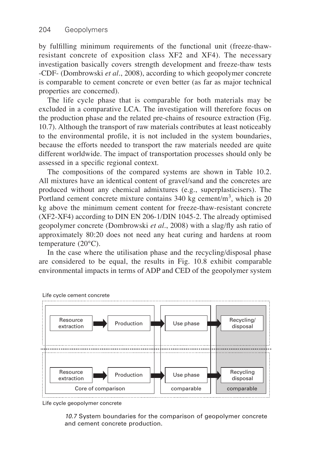by fulfilling minimum requirements of the functional unit (freeze-thawresistant concrete of exposition class XF2 and XF4). The necessary investigation basically covers strength development and freeze-thaw tests -CDF- (Dombrowski *et al*., 2008), according to which geopolymer concrete is comparable to cement concrete or even better (as far as major technical properties are concerned).

The life cycle phase that is comparable for both materials may be excluded in a comparative LCA. The investigation will therefore focus on the production phase and the related pre-chains of resource extraction (Fig. 10.7). Although the transport of raw materials contributes at least noticeably to the environmental profile, it is not included in the system boundaries, because the efforts needed to transport the raw materials needed are quite different worldwide. The impact of transportation processes should only be assessed in a specific regional context.

The compositions of the compared systems are shown in Table 10.2. All mixtures have an identical content of gravel/sand and the concretes are produced without any chemical admixtures (e.g., superplasticisers). The Portland cement concrete mixture contains  $340 \text{ kg}$  cement/m<sup>3</sup>, which is  $20$ kg above the minimum cement content for freeze-thaw-resistant concrete (XF2-XF4) according to DIN EN 206-1/DIN 1045-2. The already optimised geopolymer concrete (Dombrowski *et al*., 2008) with a slag/fly ash ratio of approximately 80:20 does not need any heat curing and hardens at room temperature (20°C).

 In the case where the utilisation phase and the recycling/disposal phase are considered to be equal, the results in Fig. 10.8 exhibit comparable environmental impacts in terms of ADP and CED of the geopolymer system



Life cycle cement concrete

Life cycle geopolymer concrete

*10.7* System boundaries for the comparison of geopolymer concrete and cement concrete production.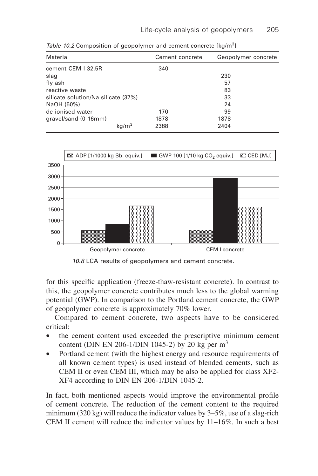| Material                            | Cement concrete | Geopolymer concrete |
|-------------------------------------|-----------------|---------------------|
| cement CEM I 32.5R                  | 340             |                     |
| slag                                |                 | 230                 |
| fly ash                             |                 | 57                  |
| reactive waste                      |                 | 83                  |
| silicate solution/Na silicate (37%) |                 | 33                  |
| NaOH (50%)                          |                 | 24                  |
| de-ionised water                    | 170             | 99                  |
| gravel/sand (0-16mm)                | 1878            | 1878                |
| kg/m <sup>3</sup>                   | 2388            | 2404                |

Table 10.2 Composition of geopolymer and cement concrete [kg/m<sup>3</sup>]



*10.8* LCA results of geopolymers and cement concrete.

for this specific application (freeze-thaw-resistant concrete). In contrast to this, the geopolymer concrete contributes much less to the global warming potential (GWP). In comparison to the Portland cement concrete, the GWP of geopolymer concrete is approximately 70% lower.

 Compared to cement concrete, two aspects have to be considered critical:

- ∑ the cement content used exceeded the prescriptive minimum cement content (DIN EN 206-1/DIN 1045-2) by 20 kg per  $m<sup>3</sup>$
- Portland cement (with the highest energy and resource requirements of all known cement types) is used instead of blended cements, such as CEM II or even CEM III, which may be also be applied for class XF2- XF4 according to DIN EN 206-1/DIN 1045-2.

In fact, both mentioned aspects would improve the environmental profile of cement concrete. The reduction of the cement content to the required minimum (320 kg) will reduce the indicator values by  $3-5\%$ , use of a slag-rich CEM II cement will reduce the indicator values by 11–16%. In such a best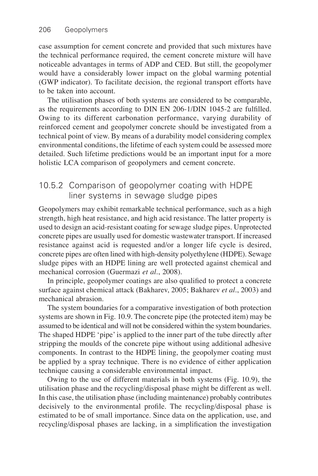case assumption for cement concrete and provided that such mixtures have the technical performance required, the cement concrete mixture will have noticeable advantages in terms of ADP and CED. But still, the geopolymer would have a considerably lower impact on the global warming potential (GWP indicator). To facilitate decision, the regional transport efforts have to be taken into account.

The utilisation phases of both systems are considered to be comparable, as the requirements according to DIN EN 206-1/DIN 1045-2 are fulfilled. Owing to its different carbonation performance, varying durability of reinforced cement and geopolymer concrete should be investigated from a technical point of view. By means of a durability model considering complex environmental conditions, the lifetime of each system could be assessed more detailed. Such lifetime predictions would be an important input for a more holistic LCA comparison of geopolymers and cement concrete.

# 10.5.2 Comparison of geopolymer coating with HDPE liner systems in sewage sludge pipes

Geopolymers may exhibit remarkable technical performance, such as a high strength, high heat resistance, and high acid resistance. The latter property is used to design an acid-resistant coating for sewage sludge pipes. Unprotected concrete pipes are usually used for domestic wastewater transport. If increased resistance against acid is requested and/or a longer life cycle is desired, concrete pipes are often lined with high-density polyethylene (HDPE). Sewage sludge pipes with an HDPE lining are well protected against chemical and mechanical corrosion (Guermazi *et al*., 2008).

In principle, geopolymer coatings are also qualified to protect a concrete surface against chemical attack (Bakharev, 2005; Bakharev *et al*., 2003) and mechanical abrasion.

The system boundaries for a comparative investigation of both protection systems are shown in Fig. 10.9. The concrete pipe (the protected item) may be assumed to be identical and will not be considered within the system boundaries. The shaped HDPE 'pipe' is applied to the inner part of the tube directly after stripping the moulds of the concrete pipe without using additional adhesive components. In contrast to the HDPE lining, the geopolymer coating must be applied by a spray technique. There is no evidence of either application technique causing a considerable environmental impact.

Owing to the use of different materials in both systems (Fig. 10.9), the utilisation phase and the recycling/disposal phase might be different as well. In this case, the utilisation phase (including maintenance) probably contributes decisively to the environmental profile. The recycling/disposal phase is estimated to be of small importance. Since data on the application, use, and recycling/disposal phases are lacking, in a simplification the investigation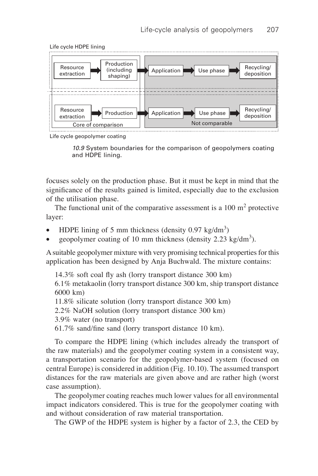

Life cycle geopolymer coating

*10.9* System boundaries for the comparison of geopolymers coating and HDPE lining.

focuses solely on the production phase. But it must be kept in mind that the significance of the results gained is limited, especially due to the exclusion of the utilisation phase.

The functional unit of the comparative assessment is a  $100 \text{ m}^2$  protective layer:

- HDPE lining of 5 mm thickness (density  $0.97 \text{ kg/dm}^3$ )
- geopolymer coating of 10 mm thickness (density 2.23 kg/dm<sup>3</sup>).

A suitable geopolymer mixture with very promising technical properties for this application has been designed by Anja Buchwald. The mixture contains:

14.3% soft coal fly ash (lorry transport distance 300 km) 6.1% metakaolin (lorry transport distance 300 km, ship transport distance 6000 km) 11.8% silicate solution (lorry transport distance 300 km) 2.2% NaOH solution (lorry transport distance 300 km) 3.9% water (no transport)

61.7% sand/fine sand (lorry transport distance 10 km).

To compare the HDPE lining (which includes already the transport of the raw materials) and the geopolymer coating system in a consistent way, a transportation scenario for the geopolymer-based system (focused on central Europe) is considered in addition (Fig. 10.10). The assumed transport distances for the raw materials are given above and are rather high (worst case assumption).

The geopolymer coating reaches much lower values for all environmental impact indicators considered. This is true for the geopolymer coating with and without consideration of raw material transportation.

The GWP of the HDPE system is higher by a factor of 2.3, the CED by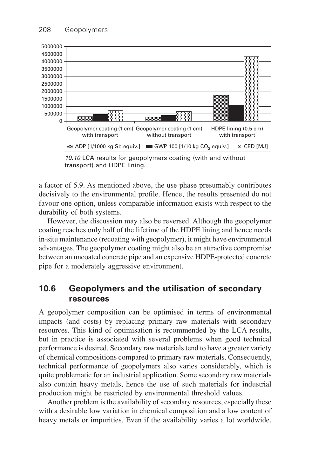

transport) and HDPE lining.

a factor of 5.9. As mentioned above, the use phase presumably contributes decisively to the environmental profile. Hence, the results presented do not favour one option, unless comparable information exists with respect to the durability of both systems.

 However, the discussion may also be reversed. Although the geopolymer coating reaches only half of the lifetime of the HDPE lining and hence needs in-situ maintenance (recoating with geopolymer), it might have environmental advantages. The geopolymer coating might also be an attractive compromise between an uncoated concrete pipe and an expensive HDPE-protected concrete pipe for a moderately aggressive environment.

# **10.6 Geopolymers and the utilisation of secondary resources**

A geopolymer composition can be optimised in terms of environmental impacts (and costs) by replacing primary raw materials with secondary resources. This kind of optimisation is recommended by the LCA results, but in practice is associated with several problems when good technical performance is desired. Secondary raw materials tend to have a greater variety of chemical compositions compared to primary raw materials. Consequently, technical performance of geopolymers also varies considerably, which is quite problematic for an industrial application. Some secondary raw materials also contain heavy metals, hence the use of such materials for industrial production might be restricted by environmental threshold values.

Another problem is the availability of secondary resources, especially these with a desirable low variation in chemical composition and a low content of heavy metals or impurities. Even if the availability varies a lot worldwide,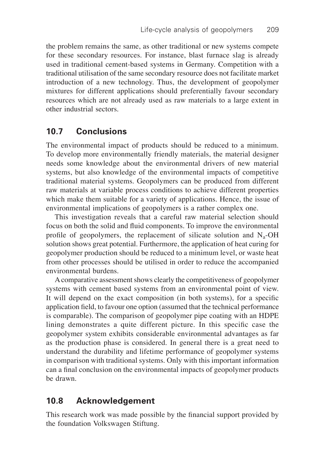the problem remains the same, as other traditional or new systems compete for these secondary resources. For instance, blast furnace slag is already used in traditional cement-based systems in Germany. Competition with a traditional utilisation of the same secondary resource does not facilitate market introduction of a new technology. Thus, the development of geopolymer mixtures for different applications should preferentially favour secondary resources which are not already used as raw materials to a large extent in other industrial sectors.

## **10.7 Conclusions**

The environmental impact of products should be reduced to a minimum. To develop more environmentally friendly materials, the material designer needs some knowledge about the environmental drivers of new material systems, but also knowledge of the environmental impacts of competitive traditional material systems. Geopolymers can be produced from different raw materials at variable process conditions to achieve different properties which make them suitable for a variety of applications. Hence, the issue of environmental implications of geopolymers is a rather complex one.

This investigation reveals that a careful raw material selection should focus on both the solid and fluid components. To improve the environmental profile of geopolymers, the replacement of silicate solution and  $N_a$ -OH solution shows great potential. Furthermore, the application of heat curing for geopolymer production should be reduced to a minimum level, or waste heat from other processes should be utilised in order to reduce the accompanied environmental burdens.

A comparative assessment shows clearly the competitiveness of geopolymer systems with cement based systems from an environmental point of view. It will depend on the exact composition (in both systems), for a specific application field, to favour one option (assumed that the technical performance is comparable). The comparison of geopolymer pipe coating with an HDPE lining demonstrates a quite different picture. In this specific case the geopolymer system exhibits considerable environmental advantages as far as the production phase is considered. In general there is a great need to understand the durability and lifetime performance of geopolymer systems in comparison with traditional systems. Only with this important information can a final conclusion on the environmental impacts of geopolymer products be drawn.

## **10.8 Acknowledgement**

This research work was made possible by the financial support provided by the foundation Volkswagen Stiftung.